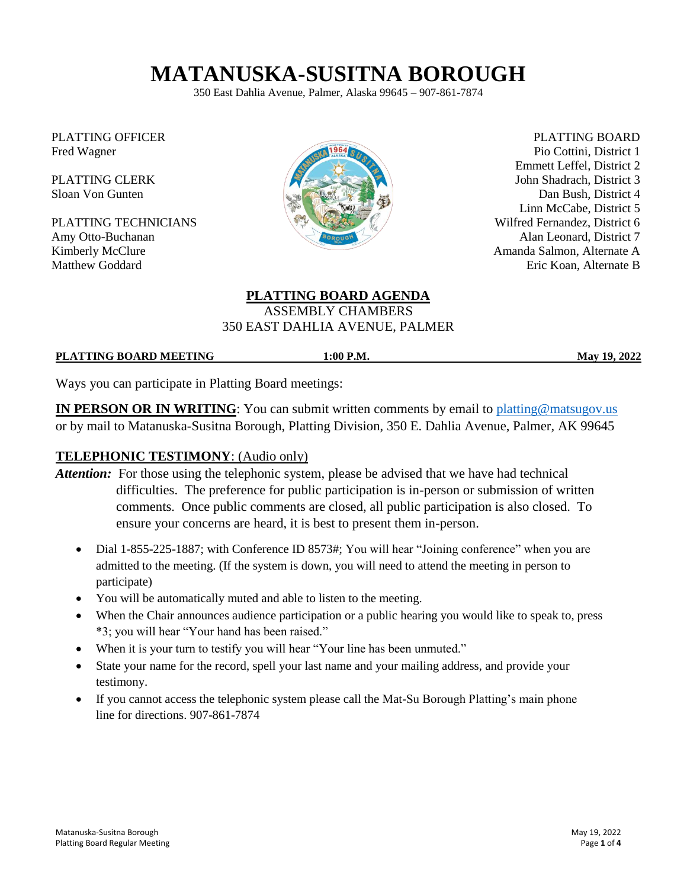# **MATANUSKA-SUSITNA BOROUGH**

350 East Dahlia Avenue, Palmer, Alaska 99645 – 907-861-7874

PLATTING OFFICER Fred Wagner

PLATTING CLERK Sloan Von Gunten

PLATTING TECHNICIANS Amy Otto-Buchanan Kimberly McClure Matthew Goddard



PLATTING BOARD Pio Cottini, District 1 Emmett Leffel, District 2 John Shadrach, District 3 Dan Bush, District 4 Linn McCabe, District 5 Wilfred Fernandez, District 6 Alan Leonard, District 7 Amanda Salmon, Alternate A Eric Koan, Alternate B

#### **PLATTING BOARD AGENDA** ASSEMBLY CHAMBERS 350 EAST DAHLIA AVENUE, PALMER

#### **PLATTING BOARD MEETING 1:00 P.M. May 19, 2022**

Ways you can participate in Platting Board meetings:

**IN PERSON OR IN WRITING:** You can submit written comments by email to [platting@matsugov.us](mailto:platting@matsugov.us) or by mail to Matanuska-Susitna Borough, Platting Division, 350 E. Dahlia Avenue, Palmer, AK 99645

#### **TELEPHONIC TESTIMONY**: (Audio only)

- *Attention:* For those using the telephonic system, please be advised that we have had technical difficulties. The preference for public participation is in-person or submission of written comments. Once public comments are closed, all public participation is also closed. To ensure your concerns are heard, it is best to present them in-person.
	- Dial 1-855-225-1887; with Conference ID 8573#; You will hear "Joining conference" when you are admitted to the meeting. (If the system is down, you will need to attend the meeting in person to participate)
	- You will be automatically muted and able to listen to the meeting.
	- When the Chair announces audience participation or a public hearing you would like to speak to, press \*3; you will hear "Your hand has been raised."
	- When it is your turn to testify you will hear "Your line has been unmuted."
	- State your name for the record, spell your last name and your mailing address, and provide your testimony.
	- If you cannot access the telephonic system please call the Mat-Su Borough Platting's main phone line for directions. 907-861-7874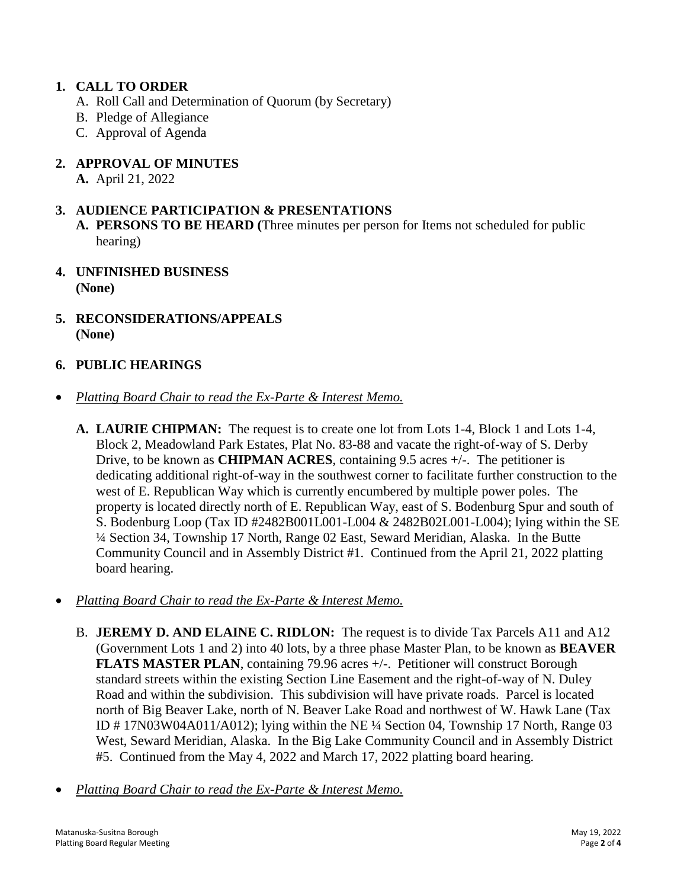## **1. CALL TO ORDER**

- A. Roll Call and Determination of Quorum (by Secretary)
- B. Pledge of Allegiance
- C. Approval of Agenda
- **2. APPROVAL OF MINUTES**
	- **A.** April 21, 2022

## **3. AUDIENCE PARTICIPATION & PRESENTATIONS**

- **A. PERSONS TO BE HEARD (**Three minutes per person for Items not scheduled for public hearing)
- **4. UNFINISHED BUSINESS (None)**
- **5. RECONSIDERATIONS/APPEALS (None)**

# **6. PUBLIC HEARINGS**

- *Platting Board Chair to read the Ex-Parte & Interest Memo.*
	- **A. LAURIE CHIPMAN:** The request is to create one lot from Lots 1-4, Block 1 and Lots 1-4, Block 2, Meadowland Park Estates, Plat No. 83-88 and vacate the right-of-way of S. Derby Drive, to be known as **CHIPMAN ACRES**, containing 9.5 acres +/-. The petitioner is dedicating additional right-of-way in the southwest corner to facilitate further construction to the west of E. Republican Way which is currently encumbered by multiple power poles. The property is located directly north of E. Republican Way, east of S. Bodenburg Spur and south of S. Bodenburg Loop (Tax ID #2482B001L001-L004 & 2482B02L001-L004); lying within the SE ¼ Section 34, Township 17 North, Range 02 East, Seward Meridian, Alaska. In the Butte Community Council and in Assembly District #1. Continued from the April 21, 2022 platting board hearing.
- *Platting Board Chair to read the Ex-Parte & Interest Memo.*
	- B. **JEREMY D. AND ELAINE C. RIDLON:** The request is to divide Tax Parcels A11 and A12 (Government Lots 1 and 2) into 40 lots, by a three phase Master Plan, to be known as **BEAVER FLATS MASTER PLAN**, containing 79.96 acres +/-. Petitioner will construct Borough standard streets within the existing Section Line Easement and the right-of-way of N. Duley Road and within the subdivision. This subdivision will have private roads. Parcel is located north of Big Beaver Lake, north of N. Beaver Lake Road and northwest of W. Hawk Lane (Tax ID # 17N03W04A011/A012); lying within the NE ¼ Section 04, Township 17 North, Range 03 West, Seward Meridian, Alaska. In the Big Lake Community Council and in Assembly District #5. Continued from the May 4, 2022 and March 17, 2022 platting board hearing.
- *Platting Board Chair to read the Ex-Parte & Interest Memo.*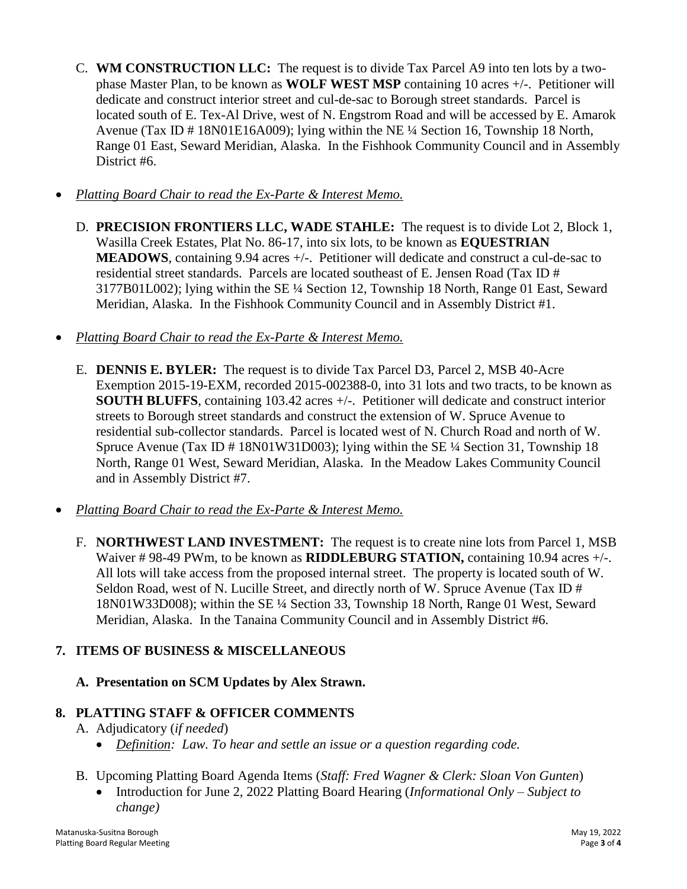- C. **WM CONSTRUCTION LLC:** The request is to divide Tax Parcel A9 into ten lots by a twophase Master Plan, to be known as **WOLF WEST MSP** containing 10 acres +/-. Petitioner will dedicate and construct interior street and cul-de-sac to Borough street standards. Parcel is located south of E. Tex-Al Drive, west of N. Engstrom Road and will be accessed by E. Amarok Avenue (Tax ID # 18N01E16A009); lying within the NE ¼ Section 16, Township 18 North, Range 01 East, Seward Meridian, Alaska. In the Fishhook Community Council and in Assembly District #6.
- *Platting Board Chair to read the Ex-Parte & Interest Memo.*
	- D. **PRECISION FRONTIERS LLC, WADE STAHLE:** The request is to divide Lot 2, Block 1, Wasilla Creek Estates, Plat No. 86-17, into six lots, to be known as **EQUESTRIAN MEADOWS**, containing 9.94 acres +/-. Petitioner will dedicate and construct a cul-de-sac to residential street standards. Parcels are located southeast of E. Jensen Road (Tax ID # 3177B01L002); lying within the SE ¼ Section 12, Township 18 North, Range 01 East, Seward Meridian, Alaska. In the Fishhook Community Council and in Assembly District #1.
- *Platting Board Chair to read the Ex-Parte & Interest Memo.*
	- E. **DENNIS E. BYLER:** The request is to divide Tax Parcel D3, Parcel 2, MSB 40-Acre Exemption 2015-19-EXM, recorded 2015-002388-0, into 31 lots and two tracts, to be known as **SOUTH BLUFFS**, containing 103.42 acres +/-. Petitioner will dedicate and construct interior streets to Borough street standards and construct the extension of W. Spruce Avenue to residential sub-collector standards. Parcel is located west of N. Church Road and north of W. Spruce Avenue (Tax ID # 18N01W31D003); lying within the SE ¼ Section 31, Township 18 North, Range 01 West, Seward Meridian, Alaska. In the Meadow Lakes Community Council and in Assembly District #7.
- *Platting Board Chair to read the Ex-Parte & Interest Memo.*
	- F. **NORTHWEST LAND INVESTMENT:** The request is to create nine lots from Parcel 1, MSB Waiver # 98-49 PWm, to be known as **RIDDLEBURG STATION,** containing 10.94 acres +/-. All lots will take access from the proposed internal street. The property is located south of W. Seldon Road, west of N. Lucille Street, and directly north of W. Spruce Avenue (Tax ID # 18N01W33D008); within the SE ¼ Section 33, Township 18 North, Range 01 West, Seward Meridian, Alaska. In the Tanaina Community Council and in Assembly District #6.

# **7. ITEMS OF BUSINESS & MISCELLANEOUS**

**A. Presentation on SCM Updates by Alex Strawn.**

# **8. PLATTING STAFF & OFFICER COMMENTS**

- A. Adjudicatory (*if needed*)
	- *Definition: Law. To hear and settle an issue or a question regarding code.*
- B. Upcoming Platting Board Agenda Items (*Staff: Fred Wagner & Clerk: Sloan Von Gunten*)
	- Introduction for June 2, 2022 Platting Board Hearing (*Informational Only – Subject to change)*